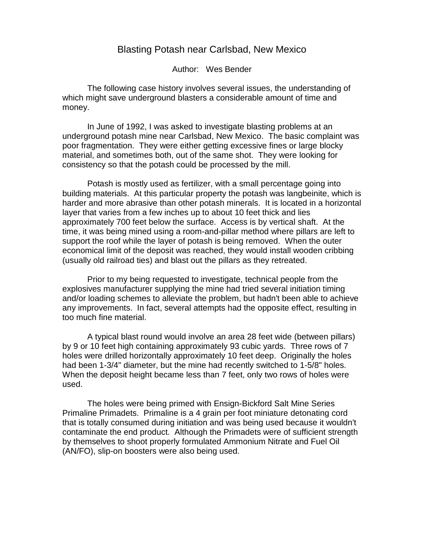## Blasting Potash near Carlsbad, New Mexico

Author: Wes Bender

The following case history involves several issues, the understanding of which might save underground blasters a considerable amount of time and money.

In June of 1992, I was asked to investigate blasting problems at an underground potash mine near Carlsbad, New Mexico. The basic complaint was poor fragmentation. They were either getting excessive fines or large blocky material, and sometimes both, out of the same shot. They were looking for consistency so that the potash could be processed by the mill.

Potash is mostly used as fertilizer, with a small percentage going into building materials. At this particular property the potash was langbeinite, which is harder and more abrasive than other potash minerals. It is located in a horizontal layer that varies from a few inches up to about 10 feet thick and lies approximately 700 feet below the surface. Access is by vertical shaft. At the time, it was being mined using a room-and-pillar method where pillars are left to support the roof while the layer of potash is being removed. When the outer economical limit of the deposit was reached, they would install wooden cribbing (usually old railroad ties) and blast out the pillars as they retreated.

Prior to my being requested to investigate, technical people from the explosives manufacturer supplying the mine had tried several initiation timing and/or loading schemes to alleviate the problem, but hadn't been able to achieve any improvements. In fact, several attempts had the opposite effect, resulting in too much fine material.

A typical blast round would involve an area 28 feet wide (between pillars) by 9 or 10 feet high containing approximately 93 cubic yards. Three rows of 7 holes were drilled horizontally approximately 10 feet deep. Originally the holes had been 1-3/4" diameter, but the mine had recently switched to 1-5/8" holes. When the deposit height became less than 7 feet, only two rows of holes were used.

The holes were being primed with Ensign-Bickford Salt Mine Series Primaline Primadets. Primaline is a 4 grain per foot miniature detonating cord that is totally consumed during initiation and was being used because it wouldn't contaminate the end product. Although the Primadets were of sufficient strength by themselves to shoot properly formulated Ammonium Nitrate and Fuel Oil (AN/FO), slip-on boosters were also being used.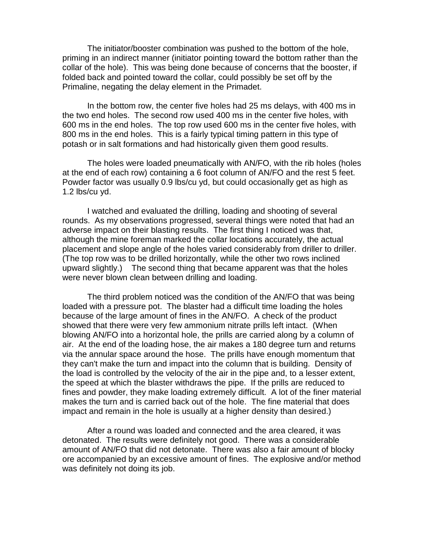The initiator/booster combination was pushed to the bottom of the hole, priming in an indirect manner (initiator pointing toward the bottom rather than the collar of the hole). This was being done because of concerns that the booster, if folded back and pointed toward the collar, could possibly be set off by the Primaline, negating the delay element in the Primadet.

In the bottom row, the center five holes had 25 ms delays, with 400 ms in the two end holes. The second row used 400 ms in the center five holes, with 600 ms in the end holes. The top row used 600 ms in the center five holes, with 800 ms in the end holes. This is a fairly typical timing pattern in this type of potash or in salt formations and had historically given them good results.

The holes were loaded pneumatically with AN/FO, with the rib holes (holes at the end of each row) containing a 6 foot column of AN/FO and the rest 5 feet. Powder factor was usually 0.9 lbs/cu yd, but could occasionally get as high as 1.2 lbs/cu yd.

I watched and evaluated the drilling, loading and shooting of several rounds. As my observations progressed, several things were noted that had an adverse impact on their blasting results. The first thing I noticed was that, although the mine foreman marked the collar locations accurately, the actual placement and slope angle of the holes varied considerably from driller to driller. (The top row was to be drilled horizontally, while the other two rows inclined upward slightly.) The second thing that became apparent was that the holes were never blown clean between drilling and loading.

The third problem noticed was the condition of the AN/FO that was being loaded with a pressure pot. The blaster had a difficult time loading the holes because of the large amount of fines in the AN/FO. A check of the product showed that there were very few ammonium nitrate prills left intact. (When blowing AN/FO into a horizontal hole, the prills are carried along by a column of air. At the end of the loading hose, the air makes a 180 degree turn and returns via the annular space around the hose. The prills have enough momentum that they can't make the turn and impact into the column that is building. Density of the load is controlled by the velocity of the air in the pipe and, to a lesser extent, the speed at which the blaster withdraws the pipe. If the prills are reduced to fines and powder, they make loading extremely difficult. A lot of the finer material makes the turn and is carried back out of the hole. The fine material that does impact and remain in the hole is usually at a higher density than desired.)

After a round was loaded and connected and the area cleared, it was detonated. The results were definitely not good. There was a considerable amount of AN/FO that did not detonate. There was also a fair amount of blocky ore accompanied by an excessive amount of fines. The explosive and/or method was definitely not doing its job.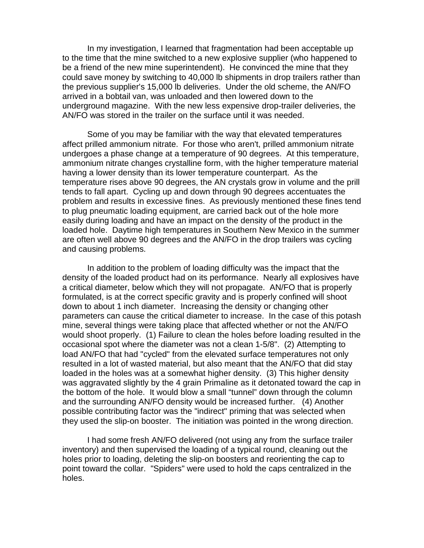In my investigation, I learned that fragmentation had been acceptable up to the time that the mine switched to a new explosive supplier (who happened to be a friend of the new mine superintendent). He convinced the mine that they could save money by switching to 40,000 lb shipments in drop trailers rather than the previous supplier's 15,000 lb deliveries. Under the old scheme, the AN/FO arrived in a bobtail van, was unloaded and then lowered down to the underground magazine. With the new less expensive drop-trailer deliveries, the AN/FO was stored in the trailer on the surface until it was needed.

Some of you may be familiar with the way that elevated temperatures affect prilled ammonium nitrate. For those who aren't, prilled ammonium nitrate undergoes a phase change at a temperature of 90 degrees. At this temperature, ammonium nitrate changes crystalline form, with the higher temperature material having a lower density than its lower temperature counterpart. As the temperature rises above 90 degrees, the AN crystals grow in volume and the prill tends to fall apart. Cycling up and down through 90 degrees accentuates the problem and results in excessive fines. As previously mentioned these fines tend to plug pneumatic loading equipment, are carried back out of the hole more easily during loading and have an impact on the density of the product in the loaded hole. Daytime high temperatures in Southern New Mexico in the summer are often well above 90 degrees and the AN/FO in the drop trailers was cycling and causing problems.

In addition to the problem of loading difficulty was the impact that the density of the loaded product had on its performance. Nearly all explosives have a critical diameter, below which they will not propagate. AN/FO that is properly formulated, is at the correct specific gravity and is properly confined will shoot down to about 1 inch diameter. Increasing the density or changing other parameters can cause the critical diameter to increase. In the case of this potash mine, several things were taking place that affected whether or not the AN/FO would shoot properly. (1) Failure to clean the holes before loading resulted in the occasional spot where the diameter was not a clean 1-5/8". (2) Attempting to load AN/FO that had "cycled" from the elevated surface temperatures not only resulted in a lot of wasted material, but also meant that the AN/FO that did stay loaded in the holes was at a somewhat higher density. (3) This higher density was aggravated slightly by the 4 grain Primaline as it detonated toward the cap in the bottom of the hole. It would blow a small "tunnel" down through the column and the surrounding AN/FO density would be increased further. (4) Another possible contributing factor was the "indirect" priming that was selected when they used the slip-on booster. The initiation was pointed in the wrong direction.

I had some fresh AN/FO delivered (not using any from the surface trailer inventory) and then supervised the loading of a typical round, cleaning out the holes prior to loading, deleting the slip-on boosters and reorienting the cap to point toward the collar. "Spiders" were used to hold the caps centralized in the holes.